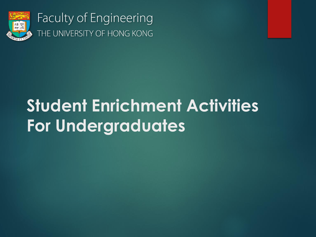

**Faculty of Engineering** THE UNIVERSITY OF HONG KONG

## **Student Enrichment Activities For Undergraduates**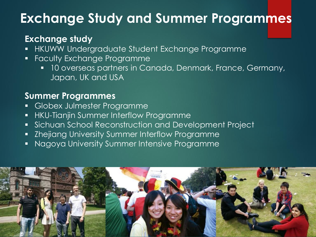### **Exchange Study and Summer Programmes**

#### **Exchange study**

- **HKUWW Undergraduate Student Exchange Programme**
- **Faculty Exchange Programme** 
	- **10 overseas partners in Canada, Denmark, France, Germany,** Japan, UK and USA

#### **Summer Programmes**

- Globex Julmester Programme
- **.** HKU-Tianjin Summer Interflow Programme
- Sichuan School Reconstruction and Development Project
- **EXEDENGE INTERS IN A 2018 The STARK PROGRAMME**
- Nagoya University Summer Intensive Programme

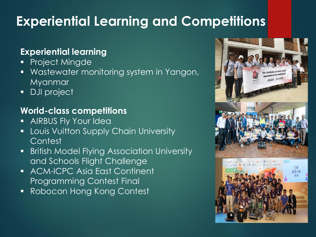### **Experiential Learning and Competitions**

#### **Experiential learning**

- **Project Mingde**
- Wastewater monitoring system in Yangon, Myanmar
- DJI project

#### **World-class competitions**

- AIRBUS Fly Your Idea
- **Louis Vuitton Supply Chain University Contest**
- **E** British Model Flying Association University and Schools Flight Challenge
- **EXECTAGE ASSESS East Continent** Programming Contest Final
- Robocon Hong Kong Contest

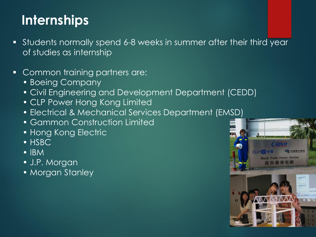### **Internships**

- **EXT** Students normally spend 6-8 weeks in summer after their third year of studies as internship
- Common training partners are:
	- Boeing Company
	- Civil Engineering and Development Department (CEDD)
	- CLP Power Hong Kong Limited
	- Electrical & Mechanical Services Department (EMSD)
	- Gammon Construction Limited
	- Hong Kong Electric
	- HSBC
	- IBM
	- J.P. Morgan
	- Morgan Stanley

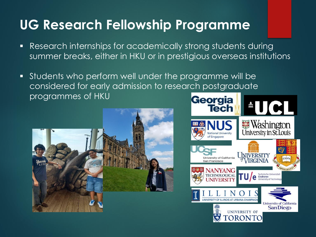### **UG Research Fellowship Programme**

- Research internships for academically strong students during summer breaks, either in HKU or in prestigious overseas institutions
- Students who perform well under the programme will be considered for early admission to research postgraduate programmes of HKU